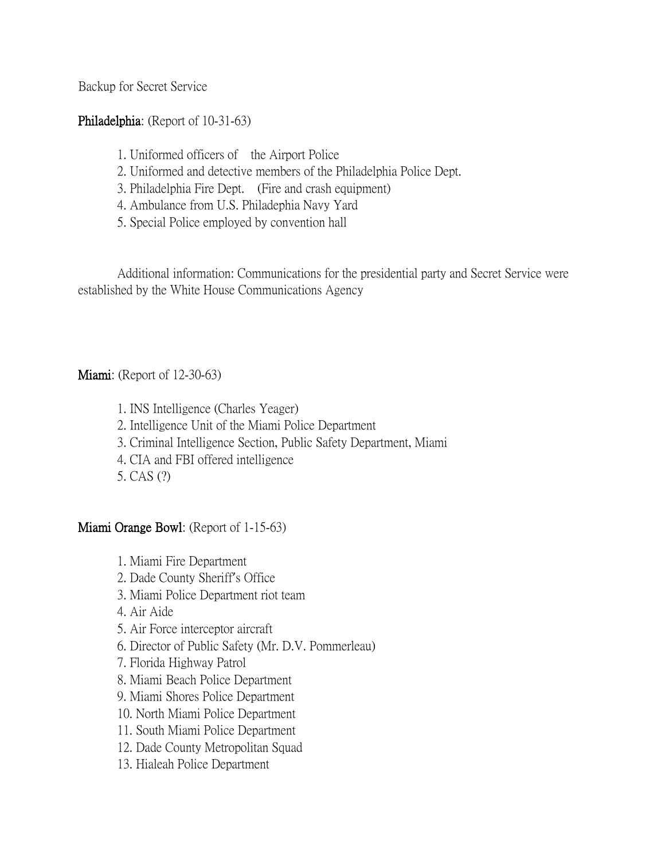Backup for Secret Service

## Philadelphia: (Report of 10-31-63)

- 1. Uniformed officers of the Airport Police
- 2. Uniformed and detective members of the Philadelphia Police Dept.
- 3. Philadelphia Fire Dept. (Fire and crash equipment)
- 4. Ambulance from U.S. Philadephia Navy Yard
- 5. Special Police employed by convention hall

Additional information: Communications for the presidential party and Secret Service were established by the White House Communications Agency

## **Miami:** (Report of 12-30-63)

1. INS Intelligence (Charles Yeager)

- 2. Intelligence Unit of the Miami Police Department
- 3. Criminal Intelligence Section, Public Safety Department, Miami
- 4. CIA and FBI offered intelligence
- 5. CAS (?)

## Miami Orange Bowl: (Report of 1-15-63)

- 1. Miami Fire Department
- 2. Dade County Sheriff's Office
- 3. Miami Police Department riot team
- 4. Air Aide
- 5. Air Force interceptor aircraft
- 6. Director of Public Safety (Mr. D.V. Pommerleau)
- 7. Florida Highway Patrol
- 8. Miami Beach Police Department
- 9. Miami Shores Police Department
- 10. North Miami Police Department
- 11. South Miami Police Department
- 12. Dade County Metropolitan Squad
- 13. Hialeah Police Department